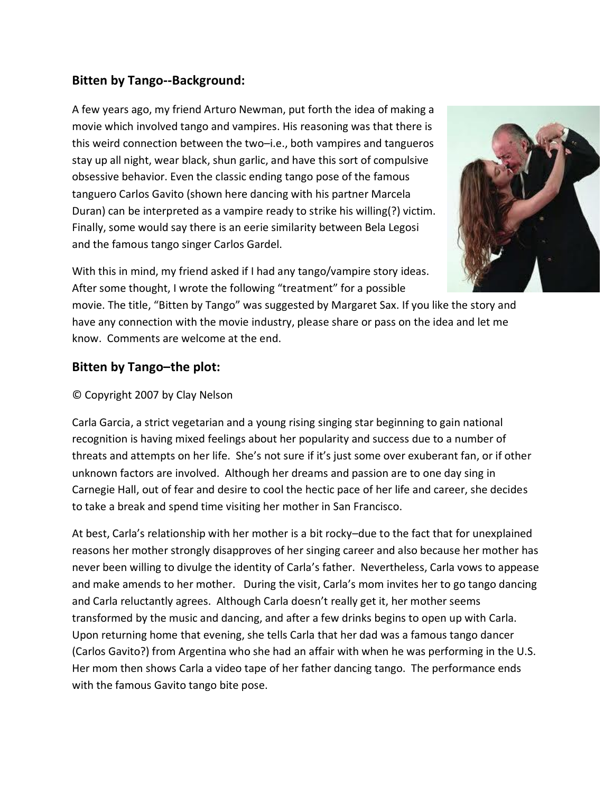## **Bitten by Tango--Background:**

A few years ago, my friend Arturo Newman, put forth the idea of making a movie which involved tango and vampires. His reasoning was that there is this weird connection between the two–i.e., both vampires and tangueros stay up all night, wear black, shun garlic, and have this sort of compulsive obsessive behavior. Even the classic ending tango pose of the famous tanguero Carlos Gavito (shown here dancing with his partner Marcela Duran) can be interpreted as a vampire ready to strike his willing(?) victim. Finally, some would say there is an eerie similarity between Bela Legosi and the famous tango singer Carlos Gardel.



With this in mind, my friend asked if I had any tango/vampire story ideas. After some thought, I wrote the following "treatment" for a possible

movie. The title, "Bitten by Tango" was suggested by Margaret Sax. If you like the story and have any connection with the movie industry, please share or pass on the idea and let me know. Comments are welcome at the end.

## **Bitten by Tango–the plot:**

## © Copyright 2007 by Clay Nelson

Carla Garcia, a strict vegetarian and a young rising singing star beginning to gain national recognition is having mixed feelings about her popularity and success due to a number of threats and attempts on her life. She's not sure if it's just some over exuberant fan, or if other unknown factors are involved. Although her dreams and passion are to one day sing in Carnegie Hall, out of fear and desire to cool the hectic pace of her life and career, she decides to take a break and spend time visiting her mother in San Francisco.

At best, Carla's relationship with her mother is a bit rocky–due to the fact that for unexplained reasons her mother strongly disapproves of her singing career and also because her mother has never been willing to divulge the identity of Carla's father. Nevertheless, Carla vows to appease and make amends to her mother. During the visit, Carla's mom invites her to go tango dancing and Carla reluctantly agrees. Although Carla doesn't really get it, her mother seems transformed by the music and dancing, and after a few drinks begins to open up with Carla. Upon returning home that evening, she tells Carla that her dad was a famous tango dancer (Carlos Gavito?) from Argentina who she had an affair with when he was performing in the U.S. Her mom then shows Carla a video tape of her father dancing tango. The performance ends with the famous Gavito tango bite pose.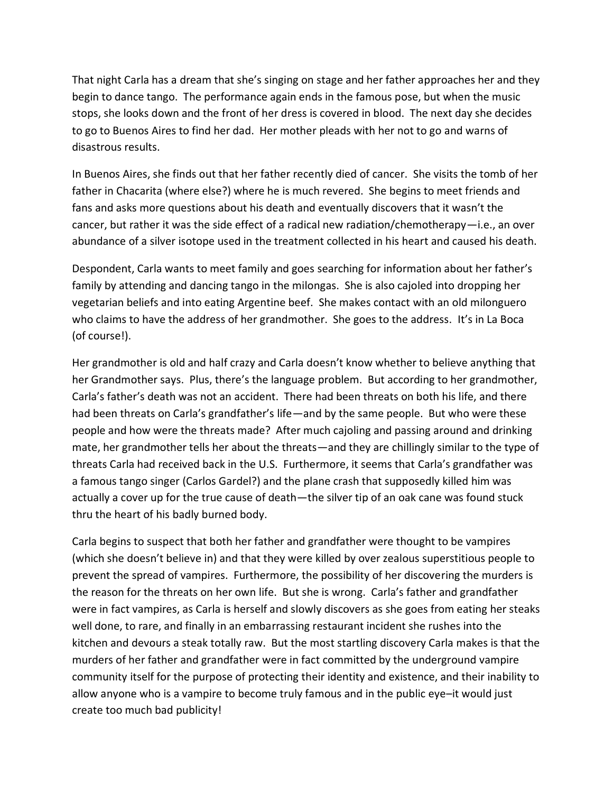That night Carla has a dream that she's singing on stage and her father approaches her and they begin to dance tango. The performance again ends in the famous pose, but when the music stops, she looks down and the front of her dress is covered in blood. The next day she decides to go to Buenos Aires to find her dad. Her mother pleads with her not to go and warns of disastrous results.

In Buenos Aires, she finds out that her father recently died of cancer. She visits the tomb of her father in Chacarita (where else?) where he is much revered. She begins to meet friends and fans and asks more questions about his death and eventually discovers that it wasn't the cancer, but rather it was the side effect of a radical new radiation/chemotherapy—i.e., an over abundance of a silver isotope used in the treatment collected in his heart and caused his death.

Despondent, Carla wants to meet family and goes searching for information about her father's family by attending and dancing tango in the milongas. She is also cajoled into dropping her vegetarian beliefs and into eating Argentine beef. She makes contact with an old milonguero who claims to have the address of her grandmother. She goes to the address. It's in La Boca (of course!).

Her grandmother is old and half crazy and Carla doesn't know whether to believe anything that her Grandmother says. Plus, there's the language problem. But according to her grandmother, Carla's father's death was not an accident. There had been threats on both his life, and there had been threats on Carla's grandfather's life—and by the same people. But who were these people and how were the threats made? After much cajoling and passing around and drinking mate, her grandmother tells her about the threats—and they are chillingly similar to the type of threats Carla had received back in the U.S. Furthermore, it seems that Carla's grandfather was a famous tango singer (Carlos Gardel?) and the plane crash that supposedly killed him was actually a cover up for the true cause of death—the silver tip of an oak cane was found stuck thru the heart of his badly burned body.

Carla begins to suspect that both her father and grandfather were thought to be vampires (which she doesn't believe in) and that they were killed by over zealous superstitious people to prevent the spread of vampires. Furthermore, the possibility of her discovering the murders is the reason for the threats on her own life. But she is wrong. Carla's father and grandfather were in fact vampires, as Carla is herself and slowly discovers as she goes from eating her steaks well done, to rare, and finally in an embarrassing restaurant incident she rushes into the kitchen and devours a steak totally raw. But the most startling discovery Carla makes is that the murders of her father and grandfather were in fact committed by the underground vampire community itself for the purpose of protecting their identity and existence, and their inability to allow anyone who is a vampire to become truly famous and in the public eye–it would just create too much bad publicity!